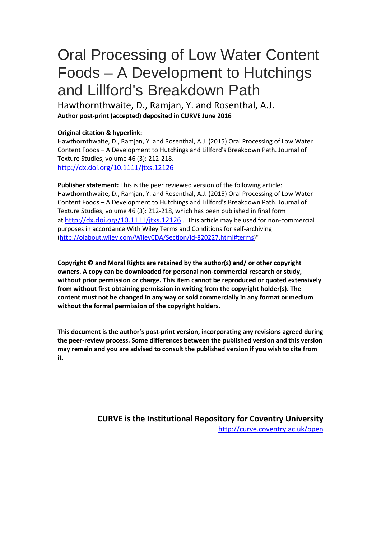# Oral Processing of Low Water Content Foods – A Development to Hutchings and Lillford's Breakdown Path

Hawthornthwaite, D., Ramjan, Y. and Rosenthal, A.J. **Author post-print (accepted) deposited in CURVE June 2016**

#### **Original citation & hyperlink:**

Hawthornthwaite, D., Ramjan, Y. and Rosenthal, A.J. (2015) Oral Processing of Low Water Content Foods – A Development to Hutchings and Lillford's Breakdown Path. Journal of Texture Studies, volume 46 (3): 212-218. <http://dx.doi.org/10.1111/jtxs.12126>

**Publisher statement:** This is the peer reviewed version of the following article: Hawthornthwaite, D., Ramjan, Y. and Rosenthal, A.J. (2015) Oral Processing of Low Water Content Foods – A Development to Hutchings and Lillford's Breakdown Path. Journal of Texture Studies, volume 46 (3): 212-218, which has been published in final form at<http://dx.doi.org/10.1111/jtxs.12126> . This article may be used for non-commercial purposes in accordance With Wiley Terms and Conditions for self-archiving [\(http://olabout.wiley.com/WileyCDA/Section/id-820227.html#terms\)](http://olabout.wiley.com/WileyCDA/Section/id-820227.html#terms)"

**Copyright © and Moral Rights are retained by the author(s) and/ or other copyright owners. A copy can be downloaded for personal non-commercial research or study, without prior permission or charge. This item cannot be reproduced or quoted extensively from without first obtaining permission in writing from the copyright holder(s). The content must not be changed in any way or sold commercially in any format or medium without the formal permission of the copyright holders.** 

**This document is the author's post-print version, incorporating any revisions agreed during the peer-review process. Some differences between the published version and this version may remain and you are advised to consult the published version if you wish to cite from it.** 

> **CURVE is the Institutional Repository for Coventry University** <http://curve.coventry.ac.uk/open>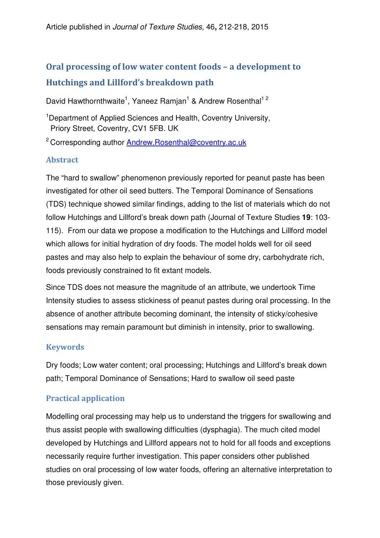# Oral processing of low water content foods – a development to Hutchings and Lillford's breakdown path

David Hawthornthwaite<sup>1</sup>, Yaneez Ramjan<sup>1</sup> & Andrew Rosenthal<sup>12</sup>

<sup>1</sup> Department of Applied Sciences and Health, Coventry University, Priory Street, Coventry, CV1 5FB. UK

<sup>2</sup> Corresponding author Andrew.Rosenthal@coventry.ac.uk

# Abstract

The "hard to swallow" phenomenon previously reported for peanut paste has been investigated for other oil seed butters. The Temporal Dominance of Sensations (TDS) technique showed similar findings, adding to the list of materials which do not follow Hutchings and Lillford's break down path (Journal of Texture Studies **19**: 103- 115). From our data we propose a modification to the Hutchings and Lillford model which allows for initial hydration of dry foods. The model holds well for oil seed pastes and may also help to explain the behaviour of some dry, carbohydrate rich, foods previously constrained to fit extant models.

Since TDS does not measure the magnitude of an attribute, we undertook Time Intensity studies to assess stickiness of peanut pastes during oral processing. In the absence of another attribute becoming dominant, the intensity of sticky/cohesive sensations may remain paramount but diminish in intensity, prior to swallowing.

# Keywords

Dry foods; Low water content; oral processing; Hutchings and Lillford's break down path; Temporal Dominance of Sensations; Hard to swallow oil seed paste

# Practical application

Modelling oral processing may help us to understand the triggers for swallowing and thus assist people with swallowing difficulties (dysphagia). The much cited model developed by Hutchings and Lillford appears not to hold for all foods and exceptions necessarily require further investigation. This paper considers other published studies on oral processing of low water foods, offering an alternative interpretation to those previously given.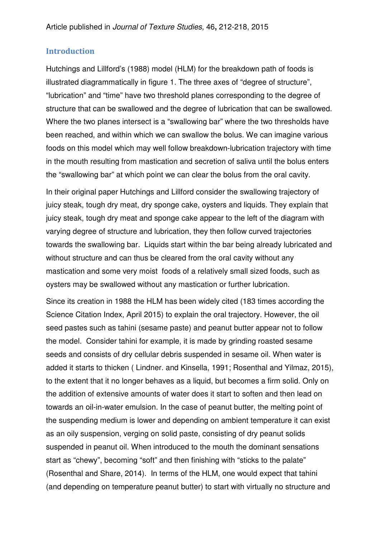#### Introduction

Hutchings and Lillford's (1988) model (HLM) for the breakdown path of foods is illustrated diagrammatically in figure 1. The three axes of "degree of structure", "lubrication" and "time" have two threshold planes corresponding to the degree of structure that can be swallowed and the degree of lubrication that can be swallowed. Where the two planes intersect is a "swallowing bar" where the two thresholds have been reached, and within which we can swallow the bolus. We can imagine various foods on this model which may well follow breakdown-lubrication trajectory with time in the mouth resulting from mastication and secretion of saliva until the bolus enters the "swallowing bar" at which point we can clear the bolus from the oral cavity.

In their original paper Hutchings and Lillford consider the swallowing trajectory of juicy steak, tough dry meat, dry sponge cake, oysters and liquids. They explain that juicy steak, tough dry meat and sponge cake appear to the left of the diagram with varying degree of structure and lubrication, they then follow curved trajectories towards the swallowing bar. Liquids start within the bar being already lubricated and without structure and can thus be cleared from the oral cavity without any mastication and some very moist foods of a relatively small sized foods, such as oysters may be swallowed without any mastication or further lubrication.

Since its creation in 1988 the HLM has been widely cited (183 times according the Science Citation Index, April 2015) to explain the oral trajectory. However, the oil seed pastes such as tahini (sesame paste) and peanut butter appear not to follow the model. Consider tahini for example, it is made by grinding roasted sesame seeds and consists of dry cellular debris suspended in sesame oil. When water is added it starts to thicken ( Lindner. and Kinsella, 1991; Rosenthal and Yilmaz, 2015), to the extent that it no longer behaves as a liquid, but becomes a firm solid. Only on the addition of extensive amounts of water does it start to soften and then lead on towards an oil-in-water emulsion. In the case of peanut butter, the melting point of the suspending medium is lower and depending on ambient temperature it can exist as an oily suspension, verging on solid paste, consisting of dry peanut solids suspended in peanut oil. When introduced to the mouth the dominant sensations start as "chewy", becoming "soft" and then finishing with "sticks to the palate" (Rosenthal and Share, 2014). In terms of the HLM, one would expect that tahini (and depending on temperature peanut butter) to start with virtually no structure and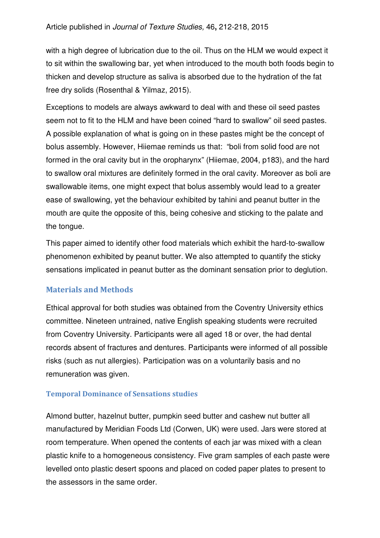with a high degree of lubrication due to the oil. Thus on the HLM we would expect it to sit within the swallowing bar, yet when introduced to the mouth both foods begin to thicken and develop structure as saliva is absorbed due to the hydration of the fat free dry solids (Rosenthal & Yilmaz, 2015).

Exceptions to models are always awkward to deal with and these oil seed pastes seem not to fit to the HLM and have been coined "hard to swallow" oil seed pastes. A possible explanation of what is going on in these pastes might be the concept of bolus assembly. However, Hiiemae reminds us that: "boli from solid food are not formed in the oral cavity but in the oropharynx" (Hiiemae, 2004, p183), and the hard to swallow oral mixtures are definitely formed in the oral cavity. Moreover as boli are swallowable items, one might expect that bolus assembly would lead to a greater ease of swallowing, yet the behaviour exhibited by tahini and peanut butter in the mouth are quite the opposite of this, being cohesive and sticking to the palate and the tongue.

This paper aimed to identify other food materials which exhibit the hard-to-swallow phenomenon exhibited by peanut butter. We also attempted to quantify the sticky sensations implicated in peanut butter as the dominant sensation prior to deglution.

# Materials and Methods

Ethical approval for both studies was obtained from the Coventry University ethics committee. Nineteen untrained, native English speaking students were recruited from Coventry University. Participants were all aged 18 or over, the had dental records absent of fractures and dentures. Participants were informed of all possible risks (such as nut allergies). Participation was on a voluntarily basis and no remuneration was given.

#### Temporal Dominance of Sensations studies

Almond butter, hazelnut butter, pumpkin seed butter and cashew nut butter all manufactured by Meridian Foods Ltd (Corwen, UK) were used. Jars were stored at room temperature. When opened the contents of each jar was mixed with a clean plastic knife to a homogeneous consistency. Five gram samples of each paste were levelled onto plastic desert spoons and placed on coded paper plates to present to the assessors in the same order.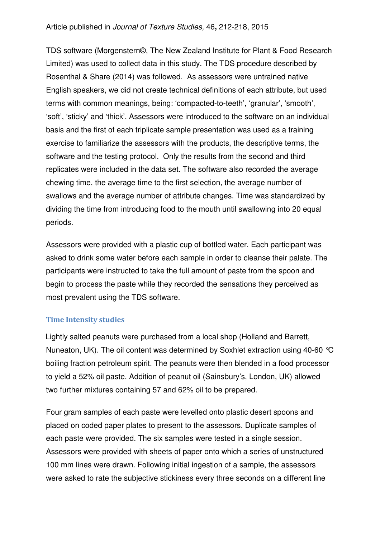TDS software (Morgenstern©, The New Zealand Institute for Plant & Food Research Limited) was used to collect data in this study. The TDS procedure described by Rosenthal & Share (2014) was followed. As assessors were untrained native English speakers, we did not create technical definitions of each attribute, but used terms with common meanings, being: 'compacted-to-teeth', 'granular', 'smooth', 'soft', 'sticky' and 'thick'. Assessors were introduced to the software on an individual basis and the first of each triplicate sample presentation was used as a training exercise to familiarize the assessors with the products, the descriptive terms, the software and the testing protocol. Only the results from the second and third replicates were included in the data set. The software also recorded the average chewing time, the average time to the first selection, the average number of swallows and the average number of attribute changes. Time was standardized by dividing the time from introducing food to the mouth until swallowing into 20 equal periods.

Assessors were provided with a plastic cup of bottled water. Each participant was asked to drink some water before each sample in order to cleanse their palate. The participants were instructed to take the full amount of paste from the spoon and begin to process the paste while they recorded the sensations they perceived as most prevalent using the TDS software.

#### Time Intensity studies

Lightly salted peanuts were purchased from a local shop (Holland and Barrett, Nuneaton, UK). The oil content was determined by Soxhlet extraction using 40-60 °C boiling fraction petroleum spirit. The peanuts were then blended in a food processor to yield a 52% oil paste. Addition of peanut oil (Sainsbury's, London, UK) allowed two further mixtures containing 57 and 62% oil to be prepared.

Four gram samples of each paste were levelled onto plastic desert spoons and placed on coded paper plates to present to the assessors. Duplicate samples of each paste were provided. The six samples were tested in a single session. Assessors were provided with sheets of paper onto which a series of unstructured 100 mm lines were drawn. Following initial ingestion of a sample, the assessors were asked to rate the subjective stickiness every three seconds on a different line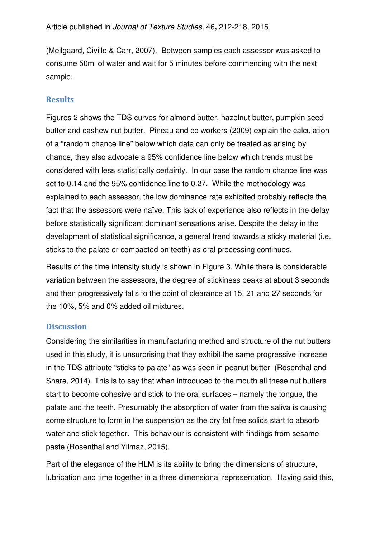(Meilgaard, Civille & Carr, 2007). Between samples each assessor was asked to consume 50ml of water and wait for 5 minutes before commencing with the next sample.

#### Results

Figures 2 shows the TDS curves for almond butter, hazelnut butter, pumpkin seed butter and cashew nut butter. Pineau and co workers (2009) explain the calculation of a "random chance line" below which data can only be treated as arising by chance, they also advocate a 95% confidence line below which trends must be considered with less statistically certainty. In our case the random chance line was set to 0.14 and the 95% confidence line to 0.27. While the methodology was explained to each assessor, the low dominance rate exhibited probably reflects the fact that the assessors were naïve. This lack of experience also reflects in the delay before statistically significant dominant sensations arise. Despite the delay in the development of statistical significance, a general trend towards a sticky material (i.e. sticks to the palate or compacted on teeth) as oral processing continues.

Results of the time intensity study is shown in Figure 3. While there is considerable variation between the assessors, the degree of stickiness peaks at about 3 seconds and then progressively falls to the point of clearance at 15, 21 and 27 seconds for the 10%, 5% and 0% added oil mixtures.

#### **Discussion**

Considering the similarities in manufacturing method and structure of the nut butters used in this study, it is unsurprising that they exhibit the same progressive increase in the TDS attribute "sticks to palate" as was seen in peanut butter (Rosenthal and Share, 2014). This is to say that when introduced to the mouth all these nut butters start to become cohesive and stick to the oral surfaces – namely the tongue, the palate and the teeth. Presumably the absorption of water from the saliva is causing some structure to form in the suspension as the dry fat free solids start to absorb water and stick together. This behaviour is consistent with findings from sesame paste (Rosenthal and Yilmaz, 2015).

Part of the elegance of the HLM is its ability to bring the dimensions of structure, lubrication and time together in a three dimensional representation. Having said this,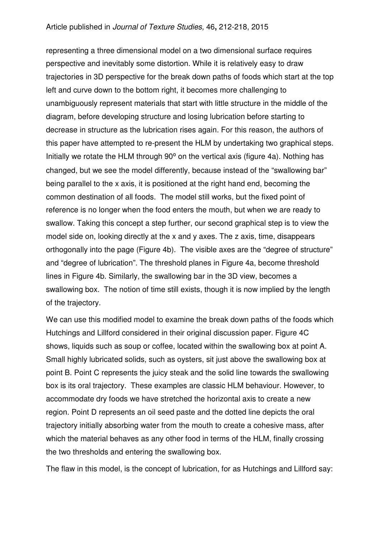representing a three dimensional model on a two dimensional surface requires perspective and inevitably some distortion. While it is relatively easy to draw trajectories in 3D perspective for the break down paths of foods which start at the top left and curve down to the bottom right, it becomes more challenging to unambiguously represent materials that start with little structure in the middle of the diagram, before developing structure and losing lubrication before starting to decrease in structure as the lubrication rises again. For this reason, the authors of this paper have attempted to re-present the HLM by undertaking two graphical steps. Initially we rotate the HLM through 90° on the vertical axis (figure 4a). Nothing has changed, but we see the model differently, because instead of the "swallowing bar" being parallel to the x axis, it is positioned at the right hand end, becoming the common destination of all foods. The model still works, but the fixed point of reference is no longer when the food enters the mouth, but when we are ready to swallow. Taking this concept a step further, our second graphical step is to view the model side on, looking directly at the x and y axes. The z axis, time, disappears orthogonally into the page (Figure 4b). The visible axes are the "degree of structure" and "degree of lubrication". The threshold planes in Figure 4a, become threshold lines in Figure 4b. Similarly, the swallowing bar in the 3D view, becomes a swallowing box. The notion of time still exists, though it is now implied by the length of the trajectory.

We can use this modified model to examine the break down paths of the foods which Hutchings and Lillford considered in their original discussion paper. Figure 4C shows, liquids such as soup or coffee, located within the swallowing box at point A. Small highly lubricated solids, such as oysters, sit just above the swallowing box at point B. Point C represents the juicy steak and the solid line towards the swallowing box is its oral trajectory. These examples are classic HLM behaviour. However, to accommodate dry foods we have stretched the horizontal axis to create a new region. Point D represents an oil seed paste and the dotted line depicts the oral trajectory initially absorbing water from the mouth to create a cohesive mass, after which the material behaves as any other food in terms of the HLM, finally crossing the two thresholds and entering the swallowing box.

The flaw in this model, is the concept of lubrication, for as Hutchings and Lillford say: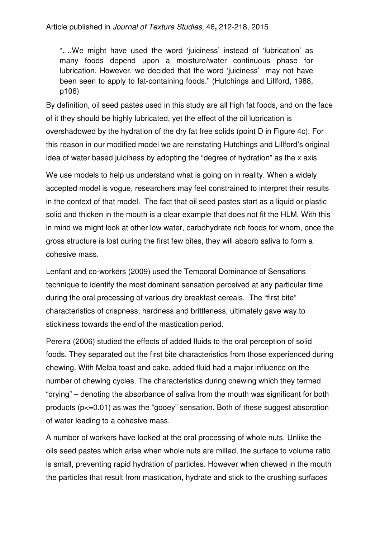"….We might have used the word 'juiciness' instead of 'lubrication' as many foods depend upon a moisture/water continuous phase for lubrication. However, we decided that the word 'juiciness' may not have been seen to apply to fat-containing foods." (Hutchings and Lillford, 1988, p106)

By definition, oil seed pastes used in this study are all high fat foods, and on the face of it they should be highly lubricated, yet the effect of the oil lubrication is overshadowed by the hydration of the dry fat free solids (point D in Figure 4c). For this reason in our modified model we are reinstating Hutchings and Lillford's original idea of water based juiciness by adopting the "degree of hydration" as the x axis.

We use models to help us understand what is going on in reality. When a widely accepted model is vogue, researchers may feel constrained to interpret their results in the context of that model. The fact that oil seed pastes start as a liquid or plastic solid and thicken in the mouth is a clear example that does not fit the HLM. With this in mind we might look at other low water, carbohydrate rich foods for whom, once the gross structure is lost during the first few bites, they will absorb saliva to form a cohesive mass.

Lenfant and co-workers (2009) used the Temporal Dominance of Sensations technique to identify the most dominant sensation perceived at any particular time during the oral processing of various dry breakfast cereals. The "first bite" characteristics of crispness, hardness and brittleness, ultimately gave way to stickiness towards the end of the mastication period.

Pereira (2006) studied the effects of added fluids to the oral perception of solid foods. They separated out the first bite characteristics from those experienced during chewing. With Melba toast and cake, added fluid had a major influence on the number of chewing cycles. The characteristics during chewing which they termed "drying" – denoting the absorbance of saliva from the mouth was significant for both products (p<=0.01) as was the "gooey" sensation. Both of these suggest absorption of water leading to a cohesive mass.

A number of workers have looked at the oral processing of whole nuts. Unlike the oils seed pastes which arise when whole nuts are milled, the surface to volume ratio is small, preventing rapid hydration of particles. However when chewed in the mouth the particles that result from mastication, hydrate and stick to the crushing surfaces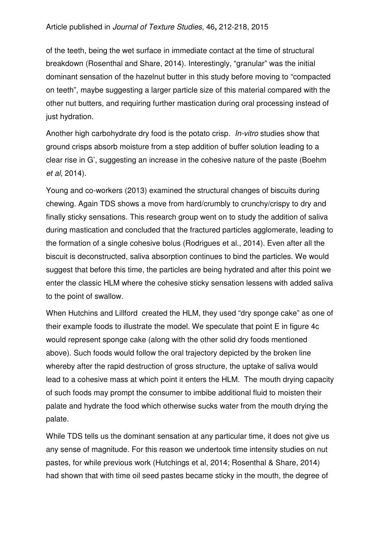#### Article published in Journal of Texture Studies, 46**,** 212-218, 2015

of the teeth, being the wet surface in immediate contact at the time of structural breakdown (Rosenthal and Share, 2014). Interestingly, "granular" was the initial dominant sensation of the hazelnut butter in this study before moving to "compacted on teeth", maybe suggesting a larger particle size of this material compared with the other nut butters, and requiring further mastication during oral processing instead of just hydration.

Another high carbohydrate dry food is the potato crisp. In-vitro studies show that ground crisps absorb moisture from a step addition of buffer solution leading to a clear rise in G', suggesting an increase in the cohesive nature of the paste (Boehm et al, 2014).

Young and co-workers (2013) examined the structural changes of biscuits during chewing. Again TDS shows a move from hard/crumbly to crunchy/crispy to dry and finally sticky sensations. This research group went on to study the addition of saliva during mastication and concluded that the fractured particles agglomerate, leading to the formation of a single cohesive bolus (Rodrigues et al., 2014). Even after all the biscuit is deconstructed, saliva absorption continues to bind the particles. We would suggest that before this time, the particles are being hydrated and after this point we enter the classic HLM where the cohesive sticky sensation lessens with added saliva to the point of swallow.

When Hutchins and Lillford created the HLM, they used "dry sponge cake" as one of their example foods to illustrate the model. We speculate that point E in figure 4c would represent sponge cake (along with the other solid dry foods mentioned above). Such foods would follow the oral trajectory depicted by the broken line whereby after the rapid destruction of gross structure, the uptake of saliva would lead to a cohesive mass at which point it enters the HLM. The mouth drying capacity of such foods may prompt the consumer to imbibe additional fluid to moisten their palate and hydrate the food which otherwise sucks water from the mouth drying the palate.

While TDS tells us the dominant sensation at any particular time, it does not give us any sense of magnitude. For this reason we undertook time intensity studies on nut pastes, for while previous work (Hutchings et al, 2014; Rosenthal & Share, 2014) had shown that with time oil seed pastes became sticky in the mouth, the degree of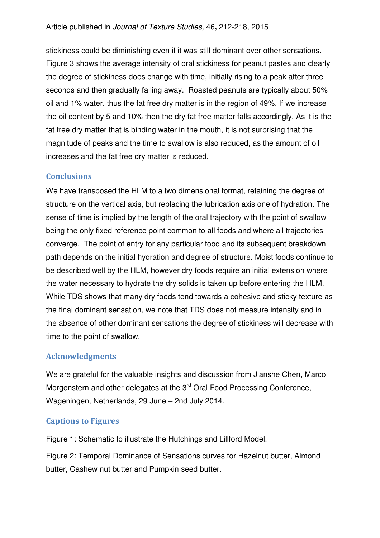stickiness could be diminishing even if it was still dominant over other sensations. Figure 3 shows the average intensity of oral stickiness for peanut pastes and clearly the degree of stickiness does change with time, initially rising to a peak after three seconds and then gradually falling away. Roasted peanuts are typically about 50% oil and 1% water, thus the fat free dry matter is in the region of 49%. If we increase the oil content by 5 and 10% then the dry fat free matter falls accordingly. As it is the fat free dry matter that is binding water in the mouth, it is not surprising that the magnitude of peaks and the time to swallow is also reduced, as the amount of oil increases and the fat free dry matter is reduced.

### **Conclusions**

We have transposed the HLM to a two dimensional format, retaining the degree of structure on the vertical axis, but replacing the lubrication axis one of hydration. The sense of time is implied by the length of the oral trajectory with the point of swallow being the only fixed reference point common to all foods and where all trajectories converge. The point of entry for any particular food and its subsequent breakdown path depends on the initial hydration and degree of structure. Moist foods continue to be described well by the HLM, however dry foods require an initial extension where the water necessary to hydrate the dry solids is taken up before entering the HLM. While TDS shows that many dry foods tend towards a cohesive and sticky texture as the final dominant sensation, we note that TDS does not measure intensity and in the absence of other dominant sensations the degree of stickiness will decrease with time to the point of swallow.

# Acknowledgments

We are grateful for the valuable insights and discussion from Jianshe Chen, Marco Morgenstern and other delegates at the 3<sup>rd</sup> Oral Food Processing Conference, Wageningen, Netherlands, 29 June – 2nd July 2014.

# Captions to Figures

Figure 1: Schematic to illustrate the Hutchings and Lillford Model.

Figure 2: Temporal Dominance of Sensations curves for Hazelnut butter, Almond butter, Cashew nut butter and Pumpkin seed butter.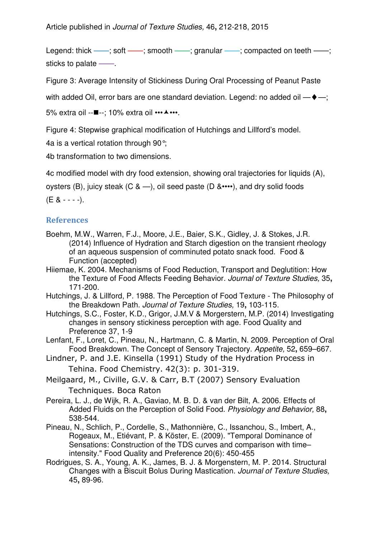Legend: thick ——; soft ——; smooth ——; granular ——; compacted on teeth ——; sticks to palate  $-$ 

Figure 3: Average Intensity of Stickiness During Oral Processing of Peanut Paste

with added Oil, error bars are one standard deviation. Legend: no added oil —♦—;

5% extra oil --■--; 10% extra oil •••▲•••.

Figure 4: Stepwise graphical modification of Hutchings and Lillford's model.

4a is a vertical rotation through 90°;

4b transformation to two dimensions.

4c modified model with dry food extension, showing oral trajectories for liquids (A),

oysters (B), juicy steak (C &  $-$ ), oil seed paste (D &••••), and dry solid foods

 $(E 8 - - -).$ 

#### **References**

- Boehm, M.W., Warren, F.J., Moore, J.E., Baier, S.K., Gidley, J. & Stokes, J.R. (2014) Influence of Hydration and Starch digestion on the transient rheology of an aqueous suspension of comminuted potato snack food. Food & Function (accepted)
- Hiiemae, K. 2004. Mechanisms of Food Reduction, Transport and Deglutition: How the Texture of Food Affects Feeding Behavior. Journal of Texture Studies, 35**,** 171-200.
- Hutchings, J. & Lillford, P. 1988. The Perception of Food Texture The Philosophy of the Breakdown Path. Journal of Texture Studies, 19**,** 103-115.
- Hutchings, S.C., Foster, K.D., Grigor, J.M.V & Morgerstern, M.P. (2014) Investigating changes in sensory stickiness perception with age. Food Quality and Preference 37, 1-9
- Lenfant, F., Loret, C., Pineau, N., Hartmann, C. & Martin, N. 2009. Perception of Oral Food Breakdown. The Concept of Sensory Trajectory. Appetite, 52**,** 659–667.
- Lindner, P. and J.E. Kinsella (1991) Study of the Hydration Process in Tehina. Food Chemistry. 42(3): p. 301-319.
- Meilgaard, M., Civille, G.V. & Carr, B.T (2007) Sensory Evaluation Techniques. Boca Raton
- Pereira, L. J., de Wijk, R. A., Gaviao, M. B. D. & van der Bilt, A. 2006. Effects of Added Fluids on the Perception of Solid Food. Physiology and Behavior, 88**,** 538-544.
- Pineau, N., Schlich, P., Cordelle, S., Mathonnière, C., Issanchou, S., Imbert, A., Rogeaux, M., Etiévant, P. & Köster, E. (2009). "Temporal Dominance of Sensations: Construction of the TDS curves and comparison with time– intensity." Food Quality and Preference 20(6): 450-455
- Rodrigues, S. A., Young, A. K., James, B. J. & Morgenstern, M. P. 2014. Structural Changes with a Biscuit Bolus During Mastication. Journal of Texture Studies, 45**,** 89-96.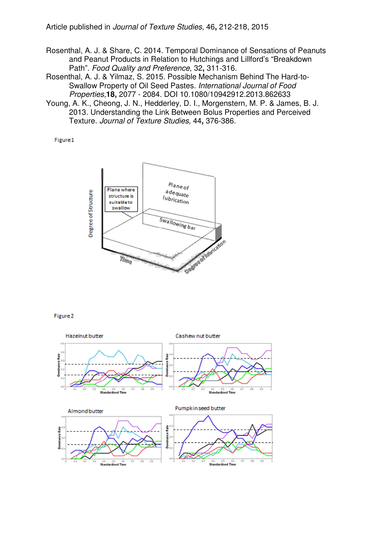Rosenthal, A. J. & Share, C. 2014. Temporal Dominance of Sensations of Peanuts and Peanut Products in Relation to Hutchings and Lillford's "Breakdown Path". Food Quality and Preference, 32**,** 311-316.

Rosenthal, A. J. & Yilmaz, S. 2015. Possible Mechanism Behind The Hard-to-Swallow Property of Oil Seed Pastes. International Journal of Food Properties,**18,** 2077 - 2084. DOI 10.1080/10942912.2013.862633

Young, A. K., Cheong, J. N., Hedderley, D. I., Morgenstern, M. P. & James, B. J. 2013. Understanding the Link Between Bolus Properties and Perceived Texture. Journal of Texture Studies, 44**,** 376-386.

Figure 1



Figure<sub>2</sub>